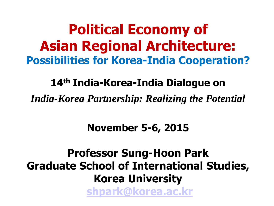**Political Economy of Asian Regional Architecture: Possibilities for Korea-India Cooperation?**

**14th India-Korea-India Dialogue on** 

*India-Korea Partnership: Realizing the Potential*

**November 5-6, 2015**

**Professor Sung-Hoon Park Graduate School of International Studies, Korea University [shpark@korea.ac.kr](mailto:shpark@korea.ac.kr)**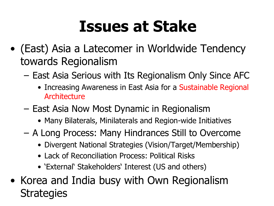## **Issues at Stake**

- (East) Asia a Latecomer in Worldwide Tendency towards Regionalism
	- East Asia Serious with Its Regionalism Only Since AFC
		- Increasing Awareness in East Asia for a Sustainable Regional **Architecture**
	- East Asia Now Most Dynamic in Regionalism
		- Many Bilaterals, Minilaterals and Region-wide Initiatives
	- A Long Process: Many Hindrances Still to Overcome
		- Divergent National Strategies (Vision/Target/Membership)
		- Lack of Reconciliation Process: Political Risks
		- 'External' Stakeholders' Interest (US and others)
- Korea and India busy with Own Regionalism **Strategies**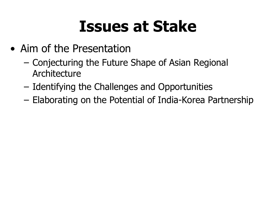## **Issues at Stake**

- Aim of the Presentation
	- Conjecturing the Future Shape of Asian Regional Architecture
	- Identifying the Challenges and Opportunities
	- Elaborating on the Potential of India-Korea Partnership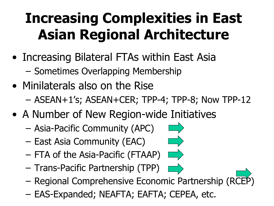## **Increasing Complexities in East Asian Regional Architecture**

- Increasing Bilateral FTAs within East Asia
	- Sometimes Overlapping Membership
- Minilaterals also on the Rise – ASEAN+1's; ASEAN+CER; TPP-4; TPP-8; Now TPP-12
- A Number of New Region-wide Initiatives
	- Asia-Pacific Community (APC)
	- East Asia Community (EAC)
	- FTA of the Asia-Pacific (FTAAP)
	- Trans-Pacific Partnership (TPP)
	- Regional Comprehensive Economic Partnership (R[CEP\)](#page-11-0)
	- EAS-Expanded; NEAFTA; EAFTA; CEPEA, etc.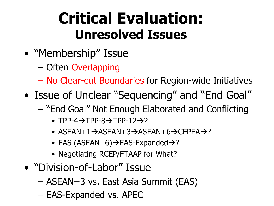## **Critical Evaluation: Unresolved Issues**

- "Membership" Issue
	- Often Overlapping
	- No Clear-cut Boundaries for Region-wide Initiatives
- Issue of Unclear "Sequencing" and "End Goal"
	- "End Goal" Not Enough Elaborated and Conflicting
		- TPP-4 $\rightarrow$ TPP-8 $\rightarrow$ TPP-12 $\rightarrow$ ?
		- ASEAN+1 $\rightarrow$ ASEAN+3 $\rightarrow$ ASEAN+6 $\rightarrow$ CEPEA $\rightarrow$ ?
		- EAS  $(ASEAN+6) \rightarrow EAS$ -Expanded $\rightarrow$ ?
		- Negotiating RCEP/FTAAP for What?
- "Division-of-Labor" Issue
	- ASEAN+3 vs. East Asia Summit (EAS)
	- EAS-Expanded vs. APEC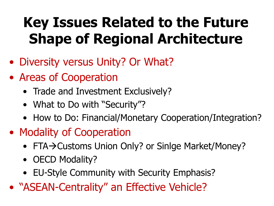## **Key Issues Related to the Future Shape of Regional Architecture**

- Diversity versus Unity? Or What?
- Areas of Cooperation
	- Trade and Investment Exclusively?
	- What to Do with "Security"?
	- How to Do: Financial/Monetary Cooperation/Integration?
- Modality of Cooperation
	- FTA-> Customs Union Only? or Sinlge Market/Money?
	- OECD Modality?
	- EU-Style Community with Security Emphasis?
- "ASEAN-Centrality" an Effective Vehicle?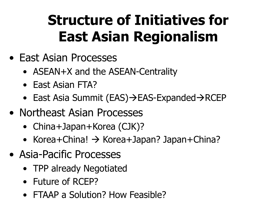## **Structure of Initiatives for East Asian Regionalism**

- East Asian Processes
	- ASEAN+X and the ASEAN-Centrality
	- East Asian FTA?
	- East Asia Summit (EAS) $\rightarrow$  EAS-Expanded $\rightarrow$ RCEP
- Northeast Asian Processes
	- China+Japan+Korea (CJK)?
	- Korea+China!  $\rightarrow$  Korea+Japan? Japan+China?
- Asia-Pacific Processes
	- TPP already Negotiated
	- Future of RCEP?
	- FTAAP a Solution? How Feasible?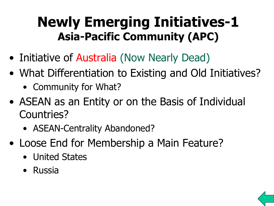## **Newly Emerging Initiatives-1 Asia-Pacific Community (APC)**

- Initiative of Australia (Now Nearly Dead)
- What Differentiation to Existing and Old Initiatives?
	- Community for What?
- ASEAN as an Entity or on the Basis of Individual Countries?
	- ASEAN-Centrality Abandoned?
- Loose End for Membership a Main Feature?
	- United States
	- Russia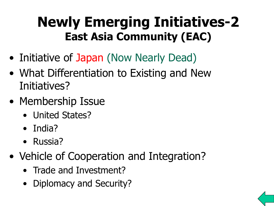## **Newly Emerging Initiatives-2 East Asia Community (EAC)**

- Initiative of Japan (Now Nearly Dead)
- What Differentiation to Existing and New Initiatives?
- Membership Issue
	- United States?
	- India?
	- Russia?
- Vehicle of Cooperation and Integration?
	- Trade and Investment?
	- Diplomacy and Security?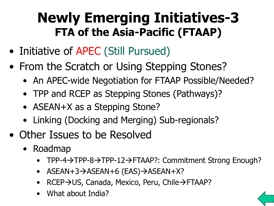## **Newly Emerging Initiatives-3 FTA of the Asia-Pacific (FTAAP)**

- Initiative of APEC (Still Pursued)
- From the Scratch or Using Stepping Stones?
	- An APEC-wide Negotiation for FTAAP Possible/Needed?
	- TPP and RCEP as Stepping Stones (Pathways)?
	- ASEAN+X as a Stepping Stone?
	- Linking (Docking and Merging) Sub-regionals?
- Other Issues to be Resolved
	- Roadmap
		- TPP-4→TPP-8→TPP-12→FTAAP?: Commitment Strong Enough?
		- $ASEAN+3 \rightarrow ASEAN+6$  (EAS) $\rightarrow$ ASEAN+X?
		- RCEP→US, Canada, Mexico, Peru, Chile→FTAAP?
		- What about India?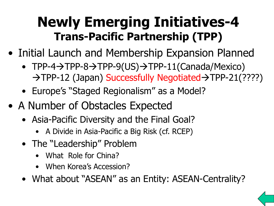## **Newly Emerging Initiatives-4 Trans-Pacific Partnership (TPP)**

- Initial Launch and Membership Expansion Planned
	- $TPP-4 \rightarrow TPP-8 \rightarrow TPP-9(US) \rightarrow TPP-11(Canada/Mexico)$  $\rightarrow$  TPP-12 (Japan) Successfully Negotiated $\rightarrow$  TPP-21(????)
	- Europe's "Staged Regionalism" as a Model?
- A Number of Obstacles Expected
	- Asia-Pacific Diversity and the Final Goal?
		- A Divide in Asia-Pacific a Big Risk (cf. RCEP)
	- The "Leadership" Problem
		- What Role for China?
		- When Korea's Accession?
	- What about "ASEAN" as an Entity: ASEAN-Centrality?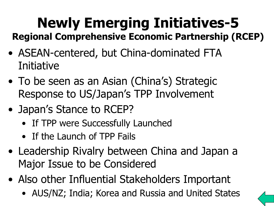#### **Newly Emerging Initiatives-5 Regional Comprehensive Economic Partnership (RCEP)**

- ASEAN-centered, but China-dominated FTA Initiative
- To be seen as an Asian (China's) Strategic Response to US/Japan's TPP Involvement
- Japan's Stance to RCEP?
	- If TPP were Successfully Launched
	- If the Launch of TPP Fails
- Leadership Rivalry between China and Japan a Major Issue to be Considered
- <span id="page-11-0"></span>• Also other Influential Stakeholders Important
	- AUS/NZ; India; Korea and Russia and United States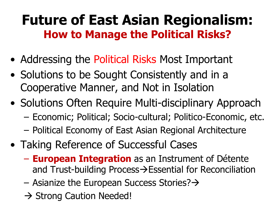## **Future of East Asian Regionalism: How to Manage the Political Risks?**

- Addressing the Political Risks Most Important
- Solutions to be Sought Consistently and in a Cooperative Manner, and Not in Isolation
- Solutions Often Require Multi-disciplinary Approach
	- Economic; Political; Socio-cultural; Politico-Economic, etc.
	- Political Economy of East Asian Regional Architecture
- Taking Reference of Successful Cases
	- **European Integration** as an Instrument of Détente and Trust-building Process $\rightarrow$ Essential for Reconciliation
	- Asianize the European Success Stories? $\rightarrow$
	- $\rightarrow$  Strong Caution Needed!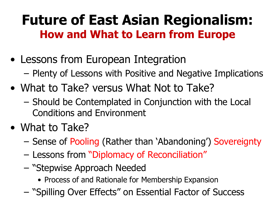## **Future of East Asian Regionalism: How and What to Learn from Europe**

- Lessons from European Integration – Plenty of Lessons with Positive and Negative Implications
- What to Take? versus What Not to Take?
	- Should be Contemplated in Conjunction with the Local Conditions and Environment
- What to Take?
	- Sense of Pooling (Rather than 'Abandoning') Sovereignty
	- Lessons from "Diplomacy of Reconciliation"
	- "Stepwise Approach Needed
		- Process of and Rationale for Membership Expansion
	- "Spilling Over Effects" on Essential Factor of Success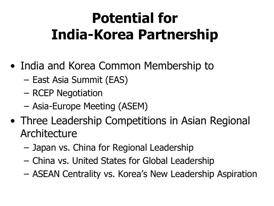## **Potential for India-Korea Partnership**

- India and Korea Common Membership to
	- East Asia Summit (EAS)
	- RCEP Negotiation
	- Asia-Europe Meeting (ASEM)
- Three Leadership Competitions in Asian Regional Architecture
	- Japan vs. China for Regional Leadership
	- China vs. United States for Global Leadership
	- ASEAN Centrality vs. Korea's New Leadership Aspiration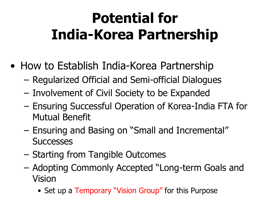## **Potential for India-Korea Partnership**

- How to Establish India-Korea Partnership
	- Regularized Official and Semi-official Dialogues
	- Involvement of Civil Society to be Expanded
	- Ensuring Successful Operation of Korea-India FTA for Mutual Benefit
	- Ensuring and Basing on "Small and Incremental" **Successes**
	- Starting from Tangible Outcomes
	- Adopting Commonly Accepted "Long-term Goals and Vision
		- Set up a Temporary "Vision Group" for this Purpose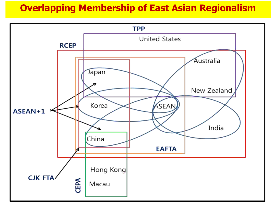#### **Overlapping Membership of East Asian Regionalism**

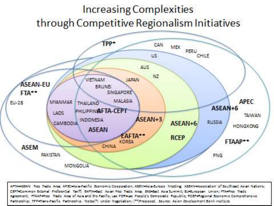#### **Increasing Complexities** through Competitive Regionalism Initiatives



AFTA+ASEAN Fros Trade Arse: AFEC+Asia-Pacific Sconomic Cooperation: ASEM+Asia-Surgeo Moding: ASEAN+Association of Southeast Asian Nations: CEPT=Common Edomal Proferential Tanifi: EAFTA=East Asian Free Tradic Area: EAS=East Asia Summit: EU=European Union: FTA=Free Tradic Agreement; FTAAP=free Tradic Area of Asia and the Pacific; Lao POR=Lao People's Democratic Republic; RCEP=Regional Economic Comprehensive Partnoship; TPP=Trans-Pacific Partnoship. Notca(\*) Under Negotiation; (\*\*)Proposed. Source: Asian Development Bank Institute.